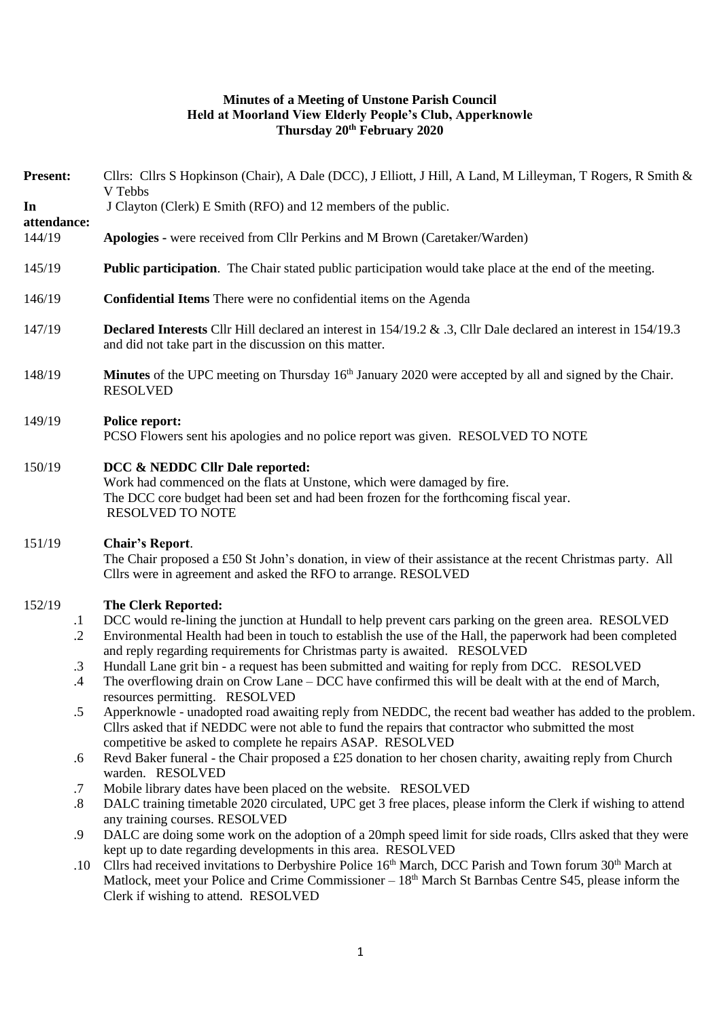### **Minutes of a Meeting of Unstone Parish Council Held at Moorland View Elderly People's Club, Apperknowle Thursday 20th February 2020**

| <b>Present:</b>       |                     | Cllrs: Cllrs S Hopkinson (Chair), A Dale (DCC), J Elliott, J Hill, A Land, M Lilleyman, T Rogers, R Smith &<br>V Tebbs                                                                                                                                                                        |
|-----------------------|---------------------|-----------------------------------------------------------------------------------------------------------------------------------------------------------------------------------------------------------------------------------------------------------------------------------------------|
| In                    |                     | J Clayton (Clerk) E Smith (RFO) and 12 members of the public.                                                                                                                                                                                                                                 |
| attendance:<br>144/19 |                     | Apologies - were received from Cllr Perkins and M Brown (Caretaker/Warden)                                                                                                                                                                                                                    |
| 145/19                |                     | <b>Public participation</b> . The Chair stated public participation would take place at the end of the meeting.                                                                                                                                                                               |
| 146/19                |                     | Confidential Items There were no confidential items on the Agenda                                                                                                                                                                                                                             |
| 147/19                |                     | Declared Interests Cllr Hill declared an interest in 154/19.2 & .3, Cllr Dale declared an interest in 154/19.3<br>and did not take part in the discussion on this matter.                                                                                                                     |
| 148/19                |                     | Minutes of the UPC meeting on Thursday 16 <sup>th</sup> January 2020 were accepted by all and signed by the Chair.<br><b>RESOLVED</b>                                                                                                                                                         |
| 149/19                |                     | <b>Police report:</b><br>PCSO Flowers sent his apologies and no police report was given. RESOLVED TO NOTE                                                                                                                                                                                     |
| 150/19                |                     | DCC & NEDDC Cllr Dale reported:<br>Work had commenced on the flats at Unstone, which were damaged by fire.<br>The DCC core budget had been set and had been frozen for the forthcoming fiscal year.<br><b>RESOLVED TO NOTE</b>                                                                |
| 151/19                |                     | <b>Chair's Report.</b><br>The Chair proposed a £50 St John's donation, in view of their assistance at the recent Christmas party. All<br>Cllrs were in agreement and asked the RFO to arrange. RESOLVED                                                                                       |
| 152/19                |                     | <b>The Clerk Reported:</b>                                                                                                                                                                                                                                                                    |
|                       | $\cdot$             | DCC would re-lining the junction at Hundall to help prevent cars parking on the green area. RESOLVED                                                                                                                                                                                          |
|                       | $\cdot$ .2          | Environmental Health had been in touch to establish the use of the Hall, the paperwork had been completed<br>and reply regarding requirements for Christmas party is awaited. RESOLVED                                                                                                        |
|                       | $\cdot$ 3<br>$.4\,$ | Hundall Lane grit bin - a request has been submitted and waiting for reply from DCC. RESOLVED<br>The overflowing drain on Crow Lane - DCC have confirmed this will be dealt with at the end of March,<br>resources permitting. RESOLVED                                                       |
|                       | د.                  | Apperknowle - unadopted road awaiting reply from NEDDC, the recent bad weather has added to the problem.<br>Cllrs asked that if NEDDC were not able to fund the repairs that contractor who submitted the most<br>competitive be asked to complete he repairs ASAP. RESOLVED                  |
|                       | .6                  | Revd Baker funeral - the Chair proposed a £25 donation to her chosen charity, awaiting reply from Church<br>warden. RESOLVED                                                                                                                                                                  |
|                       | $.7\,$              | Mobile library dates have been placed on the website. RESOLVED                                                                                                                                                                                                                                |
|                       | $\boldsymbol{.8}$   | DALC training timetable 2020 circulated, UPC get 3 free places, please inform the Clerk if wishing to attend<br>any training courses. RESOLVED                                                                                                                                                |
|                       | .9                  | DALC are doing some work on the adoption of a 20mph speed limit for side roads, Cllrs asked that they were<br>kept up to date regarding developments in this area. RESOLVED                                                                                                                   |
|                       | $.10\,$             | Cllrs had received invitations to Derbyshire Police 16 <sup>th</sup> March, DCC Parish and Town forum 30 <sup>th</sup> March at<br>Matlock, meet your Police and Crime Commissioner - 18 <sup>th</sup> March St Barnbas Centre S45, please inform the<br>Clerk if wishing to attend. RESOLVED |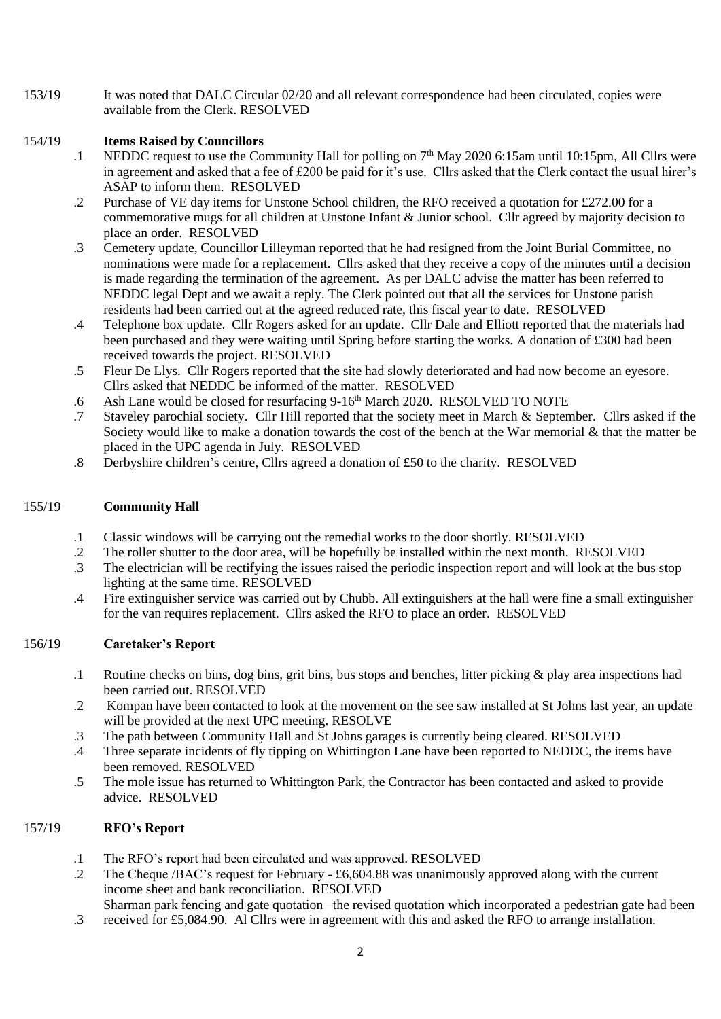153/19 It was noted that DALC Circular 02/20 and all relevant correspondence had been circulated, copies were available from the Clerk. RESOLVED

# 154/19 **Items Raised by Councillors**

- .1 NEDDC request to use the Community Hall for polling on 7<sup>th</sup> May 2020 6:15am until 10:15pm, All Cllrs were in agreement and asked that a fee of £200 be paid for it's use. Cllrs asked that the Clerk contact the usual hirer's ASAP to inform them. RESOLVED
- .2 Purchase of VE day items for Unstone School children, the RFO received a quotation for £272.00 for a commemorative mugs for all children at Unstone Infant & Junior school. Cllr agreed by majority decision to place an order. RESOLVED
- .3 Cemetery update, Councillor Lilleyman reported that he had resigned from the Joint Burial Committee, no nominations were made for a replacement. Cllrs asked that they receive a copy of the minutes until a decision is made regarding the termination of the agreement. As per DALC advise the matter has been referred to NEDDC legal Dept and we await a reply. The Clerk pointed out that all the services for Unstone parish residents had been carried out at the agreed reduced rate, this fiscal year to date. RESOLVED
- .4 Telephone box update. Cllr Rogers asked for an update. Cllr Dale and Elliott reported that the materials had been purchased and they were waiting until Spring before starting the works. A donation of £300 had been received towards the project. RESOLVED
- .5 Fleur De Llys. Cllr Rogers reported that the site had slowly deteriorated and had now become an eyesore. Cllrs asked that NEDDC be informed of the matter. RESOLVED
- .6 Ash Lane would be closed for resurfacing 9-16<sup>th</sup> March 2020. RESOLVED TO NOTE
- .7 Staveley parochial society. Cllr Hill reported that the society meet in March & September. Cllrs asked if the Society would like to make a donation towards the cost of the bench at the War memorial & that the matter be placed in the UPC agenda in July. RESOLVED
- .8 Derbyshire children's centre, Cllrs agreed a donation of £50 to the charity. RESOLVED

#### 155/19 **Community Hall**

- .1 Classic windows will be carrying out the remedial works to the door shortly. RESOLVED
- .2 The roller shutter to the door area, will be hopefully be installed within the next month. RESOLVED
- .3 The electrician will be rectifying the issues raised the periodic inspection report and will look at the bus stop lighting at the same time. RESOLVED
- .4 Fire extinguisher service was carried out by Chubb. All extinguishers at the hall were fine a small extinguisher for the van requires replacement. Cllrs asked the RFO to place an order. RESOLVED

#### 156/19 **Caretaker's Report**

- .1 Routine checks on bins, dog bins, grit bins, bus stops and benches, litter picking & play area inspections had been carried out. RESOLVED
- .2 Kompan have been contacted to look at the movement on the see saw installed at St Johns last year, an update will be provided at the next UPC meeting. RESOLVE
- .3 The path between Community Hall and St Johns garages is currently being cleared. RESOLVED
- .4 Three separate incidents of fly tipping on Whittington Lane have been reported to NEDDC, the items have been removed. RESOLVED
- .5 The mole issue has returned to Whittington Park, the Contractor has been contacted and asked to provide advice. RESOLVED

#### 157/19 **RFO's Report**

- .1 The RFO's report had been circulated and was approved. RESOLVED
- .2 The Cheque /BAC's request for February - £6,604.88 was unanimously approved along with the current income sheet and bank reconciliation. RESOLVED
- Sharman park fencing and gate quotation –the revised quotation which incorporated a pedestrian gate had been
- .3 received for £5,084.90. Al Cllrs were in agreement with this and asked the RFO to arrange installation.